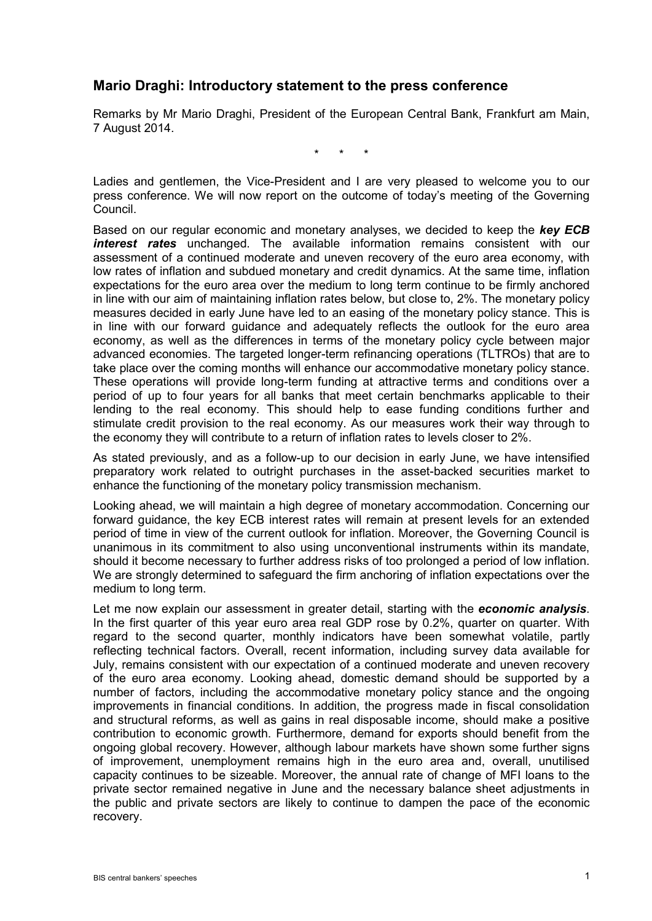## **Mario Draghi: Introductory statement to the press conference**

Remarks by Mr Mario Draghi, President of the European Central Bank, Frankfurt am Main, 7 August 2014.

\* \* \*

Ladies and gentlemen, the Vice-President and I are very pleased to welcome you to our press conference. We will now report on the outcome of today's meeting of the Governing Council.

Based on our regular economic and monetary analyses, we decided to keep the *key ECB interest rates* unchanged. The available information remains consistent with our assessment of a continued moderate and uneven recovery of the euro area economy, with low rates of inflation and subdued monetary and credit dynamics. At the same time, inflation expectations for the euro area over the medium to long term continue to be firmly anchored in line with our aim of maintaining inflation rates below, but close to, 2%. The monetary policy measures decided in early June have led to an easing of the monetary policy stance. This is in line with our forward guidance and adequately reflects the outlook for the euro area economy, as well as the differences in terms of the monetary policy cycle between major advanced economies. The targeted longer-term refinancing operations (TLTROs) that are to take place over the coming months will enhance our accommodative monetary policy stance. These operations will provide long-term funding at attractive terms and conditions over a period of up to four years for all banks that meet certain benchmarks applicable to their lending to the real economy. This should help to ease funding conditions further and stimulate credit provision to the real economy. As our measures work their way through to the economy they will contribute to a return of inflation rates to levels closer to 2%.

As stated previously, and as a follow-up to our decision in early June, we have intensified preparatory work related to outright purchases in the asset-backed securities market to enhance the functioning of the monetary policy transmission mechanism.

Looking ahead, we will maintain a high degree of monetary accommodation. Concerning our forward guidance, the key ECB interest rates will remain at present levels for an extended period of time in view of the current outlook for inflation. Moreover, the Governing Council is unanimous in its commitment to also using unconventional instruments within its mandate, should it become necessary to further address risks of too prolonged a period of low inflation. We are strongly determined to safeguard the firm anchoring of inflation expectations over the medium to long term.

Let me now explain our assessment in greater detail, starting with the *economic analysis*. In the first quarter of this year euro area real GDP rose by 0.2%, quarter on quarter. With regard to the second quarter, monthly indicators have been somewhat volatile, partly reflecting technical factors. Overall, recent information, including survey data available for July, remains consistent with our expectation of a continued moderate and uneven recovery of the euro area economy. Looking ahead, domestic demand should be supported by a number of factors, including the accommodative monetary policy stance and the ongoing improvements in financial conditions. In addition, the progress made in fiscal consolidation and structural reforms, as well as gains in real disposable income, should make a positive contribution to economic growth. Furthermore, demand for exports should benefit from the ongoing global recovery. However, although labour markets have shown some further signs of improvement, unemployment remains high in the euro area and, overall, unutilised capacity continues to be sizeable. Moreover, the annual rate of change of MFI loans to the private sector remained negative in June and the necessary balance sheet adjustments in the public and private sectors are likely to continue to dampen the pace of the economic recovery.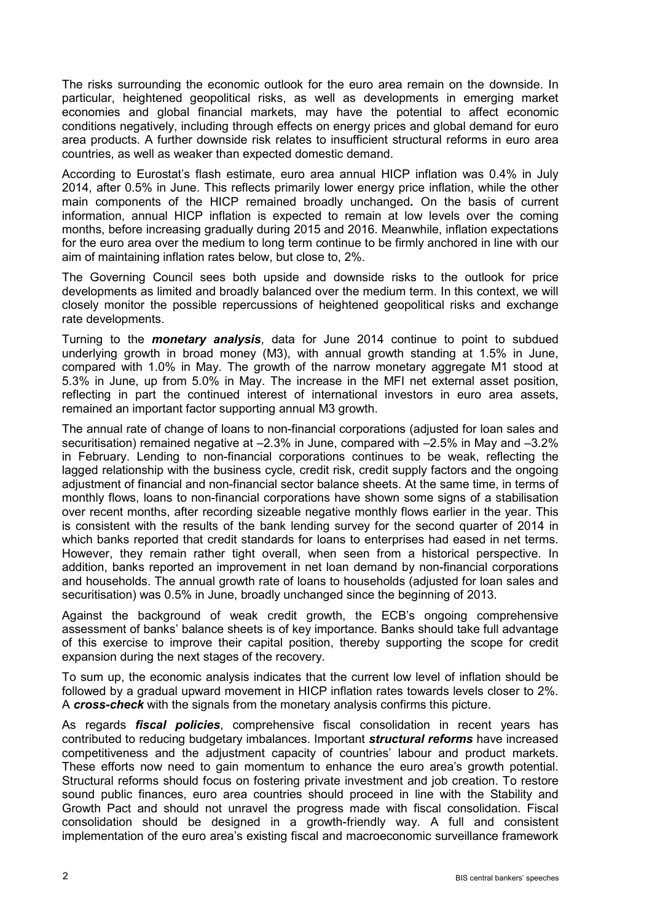The risks surrounding the economic outlook for the euro area remain on the downside. In particular, heightened geopolitical risks, as well as developments in emerging market economies and global financial markets, may have the potential to affect economic conditions negatively, including through effects on energy prices and global demand for euro area products. A further downside risk relates to insufficient structural reforms in euro area countries, as well as weaker than expected domestic demand.

According to Eurostat's flash estimate, euro area annual HICP inflation was 0.4% in July 2014, after 0.5% in June. This reflects primarily lower energy price inflation, while the other main components of the HICP remained broadly unchanged*.* On the basis of current information, annual HICP inflation is expected to remain at low levels over the coming months, before increasing gradually during 2015 and 2016. Meanwhile, inflation expectations for the euro area over the medium to long term continue to be firmly anchored in line with our aim of maintaining inflation rates below, but close to, 2%.

The Governing Council sees both upside and downside risks to the outlook for price developments as limited and broadly balanced over the medium term. In this context, we will closely monitor the possible repercussions of heightened geopolitical risks and exchange rate developments.

Turning to the *monetary analysis*, data for June 2014 continue to point to subdued underlying growth in broad money (M3), with annual growth standing at 1.5% in June, compared with 1.0% in May. The growth of the narrow monetary aggregate M1 stood at 5.3% in June, up from 5.0% in May. The increase in the MFI net external asset position, reflecting in part the continued interest of international investors in euro area assets, remained an important factor supporting annual M3 growth.

The annual rate of change of loans to non-financial corporations (adjusted for loan sales and securitisation) remained negative at –2.3% in June, compared with –2.5% in May and –3.2% in February. Lending to non-financial corporations continues to be weak, reflecting the lagged relationship with the business cycle, credit risk, credit supply factors and the ongoing adjustment of financial and non-financial sector balance sheets. At the same time, in terms of monthly flows, loans to non-financial corporations have shown some signs of a stabilisation over recent months, after recording sizeable negative monthly flows earlier in the year. This is consistent with the results of the bank lending survey for the second quarter of 2014 in which banks reported that credit standards for loans to enterprises had eased in net terms. However, they remain rather tight overall, when seen from a historical perspective. In addition, banks reported an improvement in net loan demand by non-financial corporations and households. The annual growth rate of loans to households (adjusted for loan sales and securitisation) was 0.5% in June, broadly unchanged since the beginning of 2013.

Against the background of weak credit growth, the ECB's ongoing comprehensive assessment of banks' balance sheets is of key importance. Banks should take full advantage of this exercise to improve their capital position, thereby supporting the scope for credit expansion during the next stages of the recovery.

To sum up, the economic analysis indicates that the current low level of inflation should be followed by a gradual upward movement in HICP inflation rates towards levels closer to 2%. A *cross-check* with the signals from the monetary analysis confirms this picture.

As regards *fiscal policies*, comprehensive fiscal consolidation in recent years has contributed to reducing budgetary imbalances. Important *structural reforms* have increased competitiveness and the adjustment capacity of countries' labour and product markets. These efforts now need to gain momentum to enhance the euro area's growth potential. Structural reforms should focus on fostering private investment and job creation. To restore sound public finances, euro area countries should proceed in line with the Stability and Growth Pact and should not unravel the progress made with fiscal consolidation. Fiscal consolidation should be designed in a growth-friendly way. A full and consistent implementation of the euro area's existing fiscal and macroeconomic surveillance framework